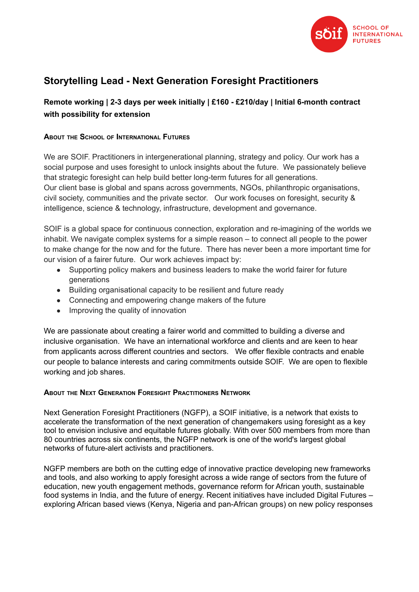

# **Storytelling Lead - Next Generation Foresight Practitioners**

## **Remote working | 2-3 days per week initially | £160 - £210/day | Initial 6-month contract with possibility for extension**

#### **ABOUT THE SCHOOL OF INTERNATIONAL FUTURES**

We are SOIF. Practitioners in intergenerational planning, strategy and policy. Our work has a social purpose and uses foresight to unlock insights about the future. We passionately believe that strategic foresight can help build better long-term futures for all generations. Our client base is global and spans across governments, NGOs, philanthropic organisations, civil society, communities and the private sector. Our work focuses on foresight, security & intelligence, science & technology, infrastructure, development and governance.

SOIF is a global space for continuous connection, exploration and re-imagining of the worlds we inhabit. We navigate complex systems for a simple reason – to connect all people to the power to make change for the now and for the future. There has never been a more important time for our vision of a fairer future. Our work achieves impact by:

- Supporting policy makers and business leaders to make the world fairer for future generations
- Building organisational capacity to be resilient and future ready
- Connecting and empowering change makers of the future
- Improving the quality of innovation

We are passionate about creating a fairer world and committed to building a diverse and inclusive organisation. We have an international workforce and clients and are keen to hear from applicants across different countries and sectors. We offer flexible contracts and enable our people to balance interests and caring commitments outside SOIF. We are open to flexible working and job shares.

#### **ABOUT THE NEXT GENERATION FORESIGHT PRACTITIONERS NETWORK**

Next Generation Foresight Practitioners (NGFP), a SOIF initiative, is a network that exists to accelerate the transformation of the next generation of changemakers using foresight as a key tool to envision inclusive and equitable futures globally. With over 500 members from more than 80 countries across six continents, the NGFP network is one of the world's largest global networks of future-alert activists and practitioners.

NGFP members are both on the cutting edge of innovative practice developing new frameworks and tools, and also working to apply foresight across a wide range of sectors from the future of education, new youth engagement methods, governance reform for African youth, sustainable food systems in India, and the future of energy. Recent initiatives have included Digital [Futures](https://digitalfutures.nextgenforesight.org/) – exploring African based views (Kenya, Nigeria and pan-African groups) on new policy responses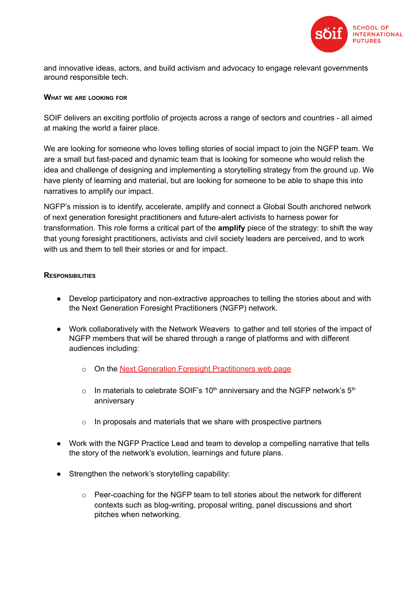

and innovative ideas, actors, and build activism and advocacy to engage relevant governments around responsible tech.

#### **WHAT WE ARE LOOKING FOR**

SOIF delivers an exciting portfolio of projects across a range of sectors and countries - all aimed at making the world a fairer place.

We are looking for someone who loves telling stories of social impact to join the NGFP team. We are a small but fast-paced and dynamic team that is looking for someone who would relish the idea and challenge of designing and implementing a storytelling strategy from the ground up. We have plenty of learning and material, but are looking for someone to be able to shape this into narratives to amplify our impact.

NGFP's mission is to identify, accelerate, amplify and connect a Global South anchored network of next generation foresight practitioners and future-alert activists to harness power for transformation. This role forms a critical part of the **amplify** piece of the strategy: to shift the way that young foresight practitioners, activists and civil society leaders are perceived, and to work with us and them to tell their stories or and for impact.

#### **RESPONSIBILITIES**

- Develop participatory and non-extractive approaches to telling the stories about and with the Next Generation Foresight Practitioners (NGFP) network.
- Work collaboratively with the Network Weavers to gather and tell stories of the impact of NGFP members that will be shared through a range of platforms and with different audiences including:
	- o On the Next Generation Foresight [Practitioners](https://nextgenforesight.org/) web page
	- $\circ$  In materials to celebrate SOIF's 10<sup>th</sup> anniversary and the NGFP network's 5<sup>th</sup> anniversary
	- $\circ$  In proposals and materials that we share with prospective partners
- Work with the NGFP Practice Lead and team to develop a compelling narrative that tells the story of the network's evolution, learnings and future plans.
- Strengthen the network's storytelling capability:
	- $\circ$  Peer-coaching for the NGFP team to tell stories about the network for different contexts such as blog-writing, proposal writing, panel discussions and short pitches when networking.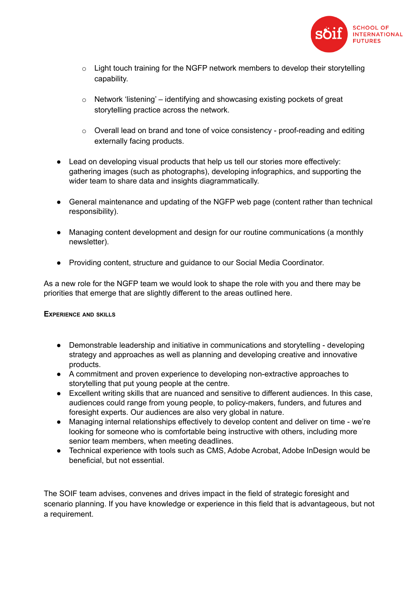

- $\circ$  Light touch training for the NGFP network members to develop their storytelling capability.
- o Network 'listening' identifying and showcasing existing pockets of great storytelling practice across the network.
- o Overall lead on brand and tone of voice consistency proof-reading and editing externally facing products.
- Lead on developing visual products that help us tell our stories more effectively: gathering images (such as photographs), developing infographics, and supporting the wider team to share data and insights diagrammatically.
- General maintenance and updating of the NGFP web page (content rather than technical responsibility).
- Managing content development and design for our routine communications (a monthly newsletter).
- Providing content, structure and guidance to our Social Media Coordinator.

As a new role for the NGFP team we would look to shape the role with you and there may be priorities that emerge that are slightly different to the areas outlined here.

#### **EXPERIENCE AND SKILLS**

- Demonstrable leadership and initiative in communications and storytelling developing strategy and approaches as well as planning and developing creative and innovative products.
- A commitment and proven experience to developing non-extractive approaches to storytelling that put young people at the centre.
- Excellent writing skills that are nuanced and sensitive to different audiences. In this case, audiences could range from young people, to policy-makers, funders, and futures and foresight experts. Our audiences are also very global in nature.
- Managing internal relationships effectively to develop content and deliver on time we're looking for someone who is comfortable being instructive with others, including more senior team members, when meeting deadlines.
- Technical experience with tools such as CMS, Adobe Acrobat, Adobe InDesign would be beneficial, but not essential.

The SOIF team advises, convenes and drives impact in the field of strategic foresight and scenario planning. If you have knowledge or experience in this field that is advantageous, but not a requirement.